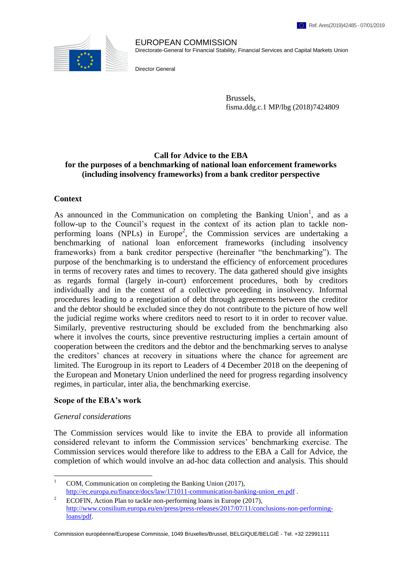

EUROPEAN COMMISSION Directorate-General for Financial Stability, Financial Services and Capital Markets Union

Director General

Brussels, fisma.ddg.c.1 MP/lbg (2018)7424809

## **Call for Advice to the EBA for the purposes of a benchmarking of national loan enforcement frameworks (including insolvency frameworks) from a bank creditor perspective**

#### **Context**

As announced in the Communication on completing the Banking Union<sup>1</sup>, and as a follow-up to the Council's request in the context of its action plan to tackle nonperforming loans (NPLs) in Europe<sup>2</sup>, the Commission services are undertaking a benchmarking of national loan enforcement frameworks (including insolvency frameworks) from a bank creditor perspective (hereinafter "the benchmarking"). The purpose of the benchmarking is to understand the efficiency of enforcement procedures in terms of recovery rates and times to recovery. The data gathered should give insights as regards formal (largely in-court) enforcement procedures, both by creditors individually and in the context of a collective proceeding in insolvency. Informal procedures leading to a renegotiation of debt through agreements between the creditor and the debtor should be excluded since they do not contribute to the picture of how well the judicial regime works where creditors need to resort to it in order to recover value. Similarly, preventive restructuring should be excluded from the benchmarking also where it involves the courts, since preventive restructuring implies a certain amount of cooperation between the creditors and the debtor and the benchmarking serves to analyse the creditors' chances at recovery in situations where the chance for agreement are limited. The Eurogroup in its report to Leaders of 4 December 2018 on the deepening of the European and Monetary Union underlined the need for progress regarding insolvency regimes, in particular, inter alia, the benchmarking exercise.

#### **Scope of the EBA's work**

#### *General considerations*

The Commission services would like to invite the EBA to provide all information considered relevant to inform the Commission services' benchmarking exercise. The Commission services would therefore like to address to the EBA a Call for Advice, the completion of which would involve an ad-hoc data collection and analysis. This should

Commission européenne/Europese Commissie, 1049 Bruxelles/Brussel, BELGIQUE/BELGIË - Tel. +32 22991111

 $\,1$ <sup>1</sup> COM, Communication on completing the Banking Union (2017), [http://ec.europa.eu/finance/docs/law/171011-communication-banking-union\\_en.pdf](http://ec.europa.eu/finance/docs/law/171011-communication-banking-union_en.pdf) .

<sup>&</sup>lt;sup>2</sup> ECOFIN, Action Plan to tackle non-performing loans in Europe (2017), [http://www.consilium.europa.eu/en/press/press-releases/2017/07/11/conclusions-non-performing](http://www.consilium.europa.eu/en/press/press-releases/2017/07/11/conclusions-non-performing-loans/pdf)[loans/pdf.](http://www.consilium.europa.eu/en/press/press-releases/2017/07/11/conclusions-non-performing-loans/pdf)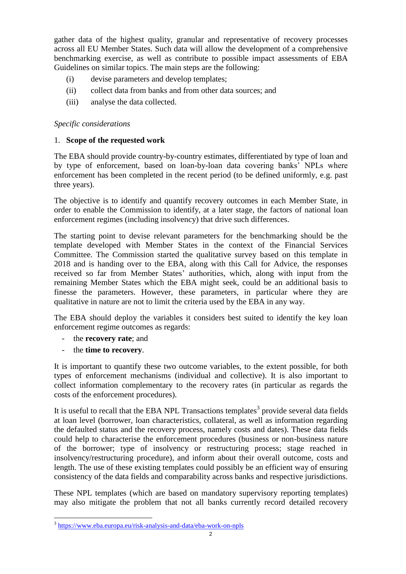gather data of the highest quality, granular and representative of recovery processes across all EU Member States. Such data will allow the development of a comprehensive benchmarking exercise, as well as contribute to possible impact assessments of EBA Guidelines on similar topics. The main steps are the following:

- (i) devise parameters and develop templates;
- (ii) collect data from banks and from other data sources; and
- (iii) analyse the data collected.

## *Specific considerations*

## 1. **Scope of the requested work**

The EBA should provide country-by-country estimates, differentiated by type of loan and by type of enforcement, based on loan-by-loan data covering banks' NPLs where enforcement has been completed in the recent period (to be defined uniformly, e.g. past three years).

The objective is to identify and quantify recovery outcomes in each Member State, in order to enable the Commission to identify, at a later stage, the factors of national loan enforcement regimes (including insolvency) that drive such differences.

The starting point to devise relevant parameters for the benchmarking should be the template developed with Member States in the context of the Financial Services Committee. The Commission started the qualitative survey based on this template in 2018 and is handing over to the EBA, along with this Call for Advice, the responses received so far from Member States' authorities, which, along with input from the remaining Member States which the EBA might seek, could be an additional basis to finesse the parameters. However, these parameters, in particular where they are qualitative in nature are not to limit the criteria used by the EBA in any way.

The EBA should deploy the variables it considers best suited to identify the key loan enforcement regime outcomes as regards:

- the **recovery rate**; and
- the **time to recovery**.

It is important to quantify these two outcome variables, to the extent possible, for both types of enforcement mechanisms (individual and collective). It is also important to collect information complementary to the recovery rates (in particular as regards the costs of the enforcement procedures).

It is useful to recall that the EBA NPL Transactions templates<sup>3</sup> provide several data fields at loan level (borrower, loan characteristics, collateral, as well as information regarding the defaulted status and the recovery process, namely costs and dates). These data fields could help to characterise the enforcement procedures (business or non-business nature of the borrower; type of insolvency or restructuring process; stage reached in insolvency/restructuring procedure), and inform about their overall outcome, costs and length. The use of these existing templates could possibly be an efficient way of ensuring consistency of the data fields and comparability across banks and respective jurisdictions.

These NPL templates (which are based on mandatory supervisory reporting templates) may also mitigate the problem that not all banks currently record detailed recovery

 $\overline{a}$ <sup>3</sup> <https://www.eba.europa.eu/risk-analysis-and-data/eba-work-on-npls>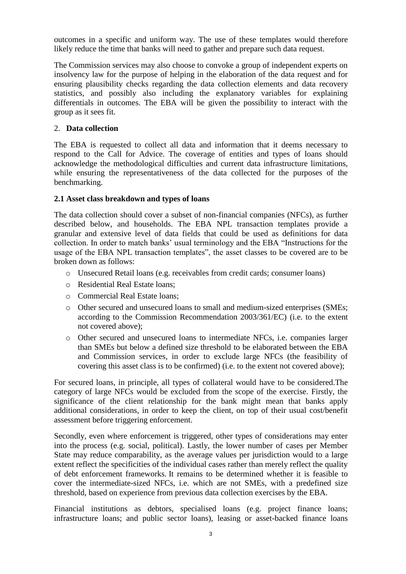outcomes in a specific and uniform way. The use of these templates would therefore likely reduce the time that banks will need to gather and prepare such data request.

The Commission services may also choose to convoke a group of independent experts on insolvency law for the purpose of helping in the elaboration of the data request and for ensuring plausibility checks regarding the data collection elements and data recovery statistics, and possibly also including the explanatory variables for explaining differentials in outcomes. The EBA will be given the possibility to interact with the group as it sees fit.

#### 2. **Data collection**

The EBA is requested to collect all data and information that it deems necessary to respond to the Call for Advice. The coverage of entities and types of loans should acknowledge the methodological difficulties and current data infrastructure limitations, while ensuring the representativeness of the data collected for the purposes of the benchmarking.

### **2.1 Asset class breakdown and types of loans**

The data collection should cover a subset of non-financial companies (NFCs), as further described below, and households. The EBA NPL transaction templates provide a granular and extensive level of data fields that could be used as definitions for data collection. In order to match banks' usual terminology and the EBA "Instructions for the usage of the EBA NPL transaction templates", the asset classes to be covered are to be broken down as follows:

- o Unsecured Retail loans (e.g. receivables from credit cards; consumer loans)
- o Residential Real Estate loans;
- o Commercial Real Estate loans;
- o Other secured and unsecured loans to small and medium-sized enterprises (SMEs; according to the Commission Recommendation 2003/361/EC) (i.e. to the extent not covered above);
- o Other secured and unsecured loans to intermediate NFCs, i.e. companies larger than SMEs but below a defined size threshold to be elaborated between the EBA and Commission services, in order to exclude large NFCs (the feasibility of covering this asset class is to be confirmed) (i.e. to the extent not covered above);

For secured loans, in principle, all types of collateral would have to be considered.The category of large NFCs would be excluded from the scope of the exercise. Firstly, the significance of the client relationship for the bank might mean that banks apply additional considerations, in order to keep the client, on top of their usual cost/benefit assessment before triggering enforcement.

Secondly, even where enforcement is triggered, other types of considerations may enter into the process (e.g. social, political). Lastly, the lower number of cases per Member State may reduce comparability, as the average values per jurisdiction would to a large extent reflect the specificities of the individual cases rather than merely reflect the quality of debt enforcement frameworks. It remains to be determined whether it is feasible to cover the intermediate-sized NFCs, i.e. which are not SMEs, with a predefined size threshold, based on experience from previous data collection exercises by the EBA.

Financial institutions as debtors, specialised loans (e.g. project finance loans; infrastructure loans; and public sector loans), leasing or asset-backed finance loans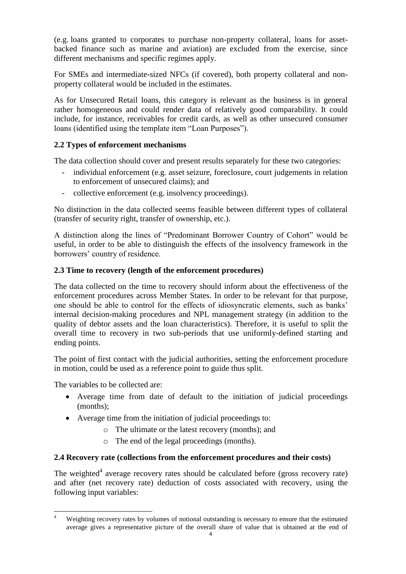(e.g. loans granted to corporates to purchase non-property collateral, loans for assetbacked finance such as marine and aviation) are excluded from the exercise, since different mechanisms and specific regimes apply.

For SMEs and intermediate-sized NFCs (if covered), both property collateral and nonproperty collateral would be included in the estimates.

As for Unsecured Retail loans, this category is relevant as the business is in general rather homogeneous and could render data of relatively good comparability. It could include, for instance, receivables for credit cards, as well as other unsecured consumer loans (identified using the template item "Loan Purposes").

# **2.2 Types of enforcement mechanisms**

The data collection should cover and present results separately for these two categories:

- individual enforcement (e.g. asset seizure, foreclosure, court judgements in relation to enforcement of unsecured claims); and
- collective enforcement (e.g. insolvency proceedings).

No distinction in the data collected seems feasible between different types of collateral (transfer of security right, transfer of ownership, etc.).

A distinction along the lines of "Predominant Borrower Country of Cohort" would be useful, in order to be able to distinguish the effects of the insolvency framework in the borrowers' country of residence.

### **2.3 Time to recovery (length of the enforcement procedures)**

The data collected on the time to recovery should inform about the effectiveness of the enforcement procedures across Member States. In order to be relevant for that purpose, one should be able to control for the effects of idiosyncratic elements, such as banks' internal decision-making procedures and NPL management strategy (in addition to the quality of debtor assets and the loan characteristics). Therefore, it is useful to split the overall time to recovery in two sub-periods that use uniformly-defined starting and ending points.

The point of first contact with the judicial authorities, setting the enforcement procedure in motion, could be used as a reference point to guide thus split.

The variables to be collected are:

- Average time from date of default to the initiation of judicial proceedings (months);
- Average time from the initiation of judicial proceedings to:
	- o The ultimate or the latest recovery (months); and
	- o The end of the legal proceedings (months).

# **2.4 Recovery rate (collections from the enforcement procedures and their costs)**

The weighted<sup>4</sup> average recovery rates should be calculated before (gross recovery rate) and after (net recovery rate) deduction of costs associated with recovery, using the following input variables:

 $\overline{a}$ Weighting recovery rates by volumes of notional outstanding is necessary to ensure that the estimated average gives a representative picture of the overall share of value that is obtained at the end of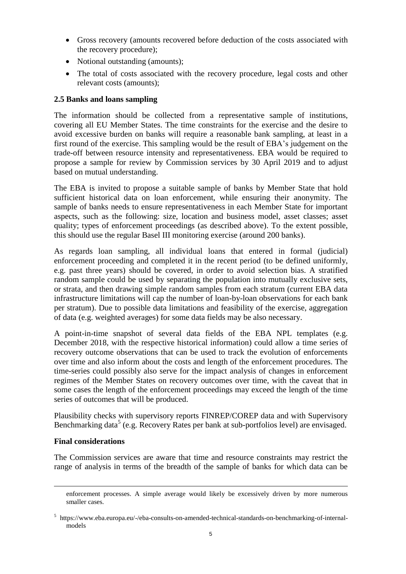- Gross recovery (amounts recovered before deduction of the costs associated with the recovery procedure);
- Notional outstanding (amounts);
- The total of costs associated with the recovery procedure, legal costs and other relevant costs (amounts);

## **2.5 Banks and loans sampling**

The information should be collected from a representative sample of institutions, covering all EU Member States. The time constraints for the exercise and the desire to avoid excessive burden on banks will require a reasonable bank sampling, at least in a first round of the exercise. This sampling would be the result of EBA's judgement on the trade-off between resource intensity and representativeness. EBA would be required to propose a sample for review by Commission services by 30 April 2019 and to adjust based on mutual understanding.

The EBA is invited to propose a suitable sample of banks by Member State that hold sufficient historical data on loan enforcement, while ensuring their anonymity. The sample of banks needs to ensure representativeness in each Member State for important aspects, such as the following: size, location and business model, asset classes; asset quality; types of enforcement proceedings (as described above). To the extent possible, this should use the regular Basel III monitoring exercise (around 200 banks).

As regards loan sampling, all individual loans that entered in formal (judicial) enforcement proceeding and completed it in the recent period (to be defined uniformly, e.g. past three years) should be covered, in order to avoid selection bias. A stratified random sample could be used by separating the population into mutually exclusive sets, or strata, and then drawing simple random samples from each stratum (current EBA data infrastructure limitations will cap the number of loan-by-loan observations for each bank per stratum). Due to possible data limitations and feasibility of the exercise, aggregation of data (e.g. weighted averages) for some data fields may be also necessary.

A point-in-time snapshot of several data fields of the EBA NPL templates (e.g. December 2018, with the respective historical information) could allow a time series of recovery outcome observations that can be used to track the evolution of enforcements over time and also inform about the costs and length of the enforcement procedures. The time-series could possibly also serve for the impact analysis of changes in enforcement regimes of the Member States on recovery outcomes over time, with the caveat that in some cases the length of the enforcement proceedings may exceed the length of the time series of outcomes that will be produced.

Plausibility checks with supervisory reports FINREP/COREP data and with Supervisory Benchmarking data<sup>5</sup> (e.g. Recovery Rates per bank at sub-portfolios level) are envisaged.

#### **Final considerations**

 $\overline{a}$ 

The Commission services are aware that time and resource constraints may restrict the range of analysis in terms of the breadth of the sample of banks for which data can be

enforcement processes. A simple average would likely be excessively driven by more numerous smaller cases.

<sup>5</sup> https://www.eba.europa.eu/-/eba-consults-on-amended-technical-standards-on-benchmarking-of-internalmodels